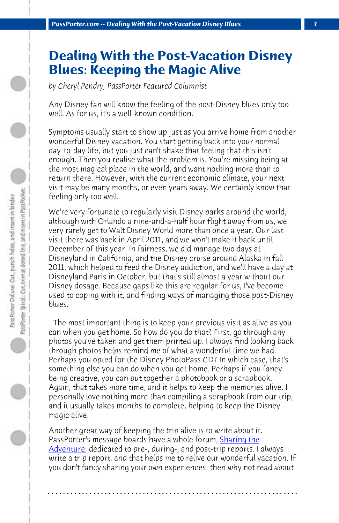*PassPorter.com -- Dealing With the Post-Vacation Disney Blues 1*

## **Dealing With the Post-Vacation Disney Blues: Keeping the Magic Alive**

*by Cheryl Pendry, PassPorter Featured Columnist*

Any Disney fan will know the feeling of the post-Disney blues only too well. As for us, it's a well-known condition.

Symptoms usually start to show up just as you arrive home from another wonderful Disney vacation. You start getting back into your normal day-to-day life, but you just can't shake that feeling that this isn't enough. Then you realise what the problem is. You're missing being at the most magical place in the world, and want nothing more than to return there. However, with the current economic climate, your next visit may be many months, or even years away. We certainly know that feeling only too well.

We're very fortunate to regularly visit Disney parks around the world, although with Orlando a nine-and-a-half hour flight away from us, we very rarely get to Walt Disney World more than once a year. Our last visit there was back in April 2011, and we won't make it back until December of this year. In fairness, we did manage two days at Disneyland in California, and the Disney cruise around Alaska in fall 2011, which helped to feed the Disney addiction, and we'll have a day at Disneyland Paris in October, but that's still almost a year without our Disney dosage. Because gaps like this are regular [for us, I've b](http://www.passporterboards.com/forums/sharing-adventure-disney-world-trip-reports/)ecome [used to cop](http://www.passporterboards.com/forums/sharing-adventure-disney-world-trip-reports/)ing with it, and finding ways of managing those post-Disney blues.

 The most important thing is to keep your previous visit as alive as you can when you get home. So how do you do that? First, go through any photos you've taken and get them printed up. I always find looking back through photos helps remind me of what a wonderful time we had. Perhaps you opted for the Disney PhotoPass CD? In which case, that's something else you can do when you get home. Perhaps if you fancy being creative, you can put together a photobook or a scrapbook. Again, that takes more time, and it helps to keep the memories alive. I personally love nothing more than compiling a scrapbook from our trip, and it usually takes months to complete, helping to keep the Disney magic alive.

Another great way of keeping the trip alive is to write about it. PassPorter's message boards have a whole forum, Sharing the Adventure, dedicated to pre-, during-, and post-trip reports. I always write a trip report, and that helps me to relive our wonderful vacation. If you don't fancy sharing your own experiences, then why not read about

**. . . . . . . . . . . . . . . . . . . . . . . . . . . . . . . . . . . . . . . . . . . . . . . . . . . . . . . . . . . . . . . . . .**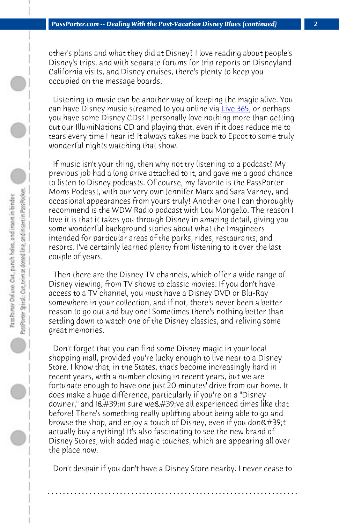*PassPorter.com -- Dealing With the Post-Vacation Disney Blues (continued) 2*

other's plans and what they did at Disney? I love reading about people's Disney's trips, and with separate forums for trip reports on Disneyland California visits, and Disney cruises, there's plenty to keep you occupied on the message boards.

 Listening to music can be another way of keeping the magic alive. You can have Disney music streamed to you online via Live 365, or perhaps you have some Disney CDs? I personally love nothing more than getting out our IllumiNations CD and playing that, even if it does reduce me to tears every time I hear it! It always takes me back to Epcot to some truly wonderful nights watching that show.

 If music isn't your thing, then why not try listening to a podcast? My previous job had a long drive attached to it, and gave me a good chance to listen to Disney podcasts. Of course, my favorite is the PassPorter Moms Podcast, with our very own Jennifer Marx and Sara Varney, and occasional appearances from yours truly! Another one I can thoroughly recommend is the WDW Radio podcast with Lou Mongello. The reason I love it is that it takes you through Disney in amazing detail, giving you some wonderful background stories about what the Imagineers intended for particular areas of the parks, rides, restaurants, and resorts. I've certainly learned plenty from listening to it over the last couple of years.

 Then there are the Disney TV channels, which offer a wide range of Disney viewing, from TV shows to classic movies. If you don't have access to a TV channel, you must have a Disney DVD or Blu-Ray somewhere in your collection, and if not, there's never been a better reason to go out and buy one! Sometimes there's nothing better than settling down to watch one of the Disney classics, and reliving some great memories.

 Don't forget that you can find some Disney magic in your local shopping mall, provided you're lucky enough to live near to a Disney Store. I know that, in the States, that's become increasingly hard in recent years, with a number closing in recent years, but we are fortunate enough to have one just 20 minutes' drive from our home. It does make a huge difference, particularly if you're on a "Disney downer," and I'm sure we've all experienced times like that before! There's something really uplifting about being able to go and browse the shop, and enjoy a touch of Disney, even if you don't actually buy anything! It's also fascinating to see the new brand of Disney Stores, with added magic touches, which are appearing all over the place now.

 Don't despair if you don't have a Disney Store nearby. I never cease to

**. . . . . . . . . . . . . . . . . . . . . . . . . . . . . . . . . . . . . . . . . . . . . . . . . . . . . . . . . . . . . . . . . .**